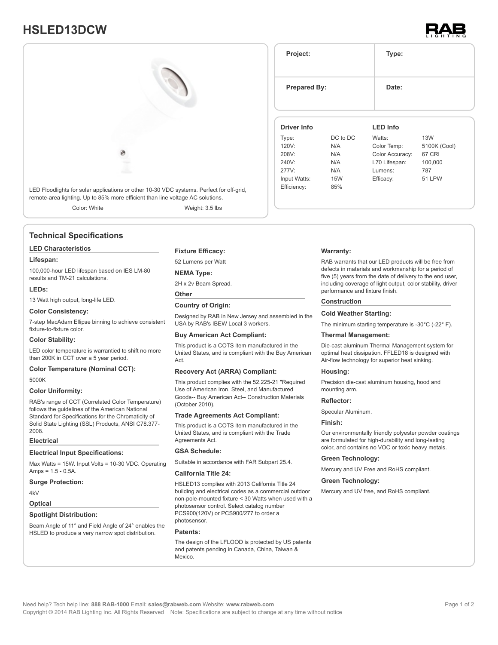## **HSLED13DCW**





## **Technical Specifications**

## **LED Characteristics**

#### **Lifespan:**

100,000-hour LED lifespan based on IES LM-80 results and TM-21 calculations.

## **LEDs:**

13 Watt high output, long-life LED.

**Color Consistency:**

7-step MacAdam Ellipse binning to achieve consistent fixture-to-fixture color.

## **Color Stability:**

LED color temperature is warrantied to shift no more than 200K in CCT over a 5 year period.

## **Color Temperature (Nominal CCT):**

5000K

## **Color Uniformity:**

RAB's range of CCT (Correlated Color Temperature) follows the guidelines of the American National Standard for Specifications for the Chromaticity of Solid State Lighting (SSL) Products, ANSI C78.377- 2008.

## **Electrical**

## **Electrical Input Specifications:**

Max Watts = 15W. Input Volts = 10-30 VDC. Operating Amps = 1.5 - 0.5A.

**Surge Protection:**

4kV

## **Optical**

## **Spotlight Distribution:**

Beam Angle of 11° and Field Angle of 24° enables the HSLED to produce a very narrow spot distribution.

## **Fixture Efficacy:**

52 Lumens per Watt

### **NEMA Type:**

2H x 2v Beam Spread.

## **Other**

**Country of Origin:**

Designed by RAB in New Jersey and assembled in the USA by RAB's IBEW Local 3 workers.

## **Buy American Act Compliant:**

This product is a COTS item manufactured in the United States, and is compliant with the Buy American Act.

## **Recovery Act (ARRA) Compliant:**

This product complies with the 52.225-21 "Required Use of American Iron, Steel, and Manufactured Goods-- Buy American Act-- Construction Materials (October 2010).

## **Trade Agreements Act Compliant:**

This product is a COTS item manufactured in the United States, and is compliant with the Trade Agreements Act.

## **GSA Schedule:**

Suitable in accordance with FAR Subpart 25.4.

## **California Title 24:**

HSLED13 complies with 2013 California Title 24 building and electrical codes as a commercial outdoor non-pole-mounted fixture < 30 Watts when used with a photosensor control. Select catalog number PCS900(120V) or PCS900/277 to order a photosensor.

#### **Patents:**

The design of the LFLOOD is protected by US patents and patents pending in Canada, China, Taiwan & Mexico.

|                     | Date:           |               |  |
|---------------------|-----------------|---------------|--|
| <b>Prepared By:</b> |                 |               |  |
|                     | <b>LED Info</b> |               |  |
| DC to DC            | Watts:          | <b>13W</b>    |  |
| N/A                 | Color Temp:     | 5100K (Cool)  |  |
| N/A                 | Color Accuracy: | 67 CRI        |  |
| N/A                 | L70 Lifespan:   | 100,000       |  |
| N/A                 | Lumens:         | 787           |  |
| <b>15W</b>          | Efficacy:       | <b>51 LPW</b> |  |
| 85%                 |                 |               |  |
|                     |                 |               |  |

**Project: Type:**

## **Warranty:**

RAB warrants that our LED products will be free from defects in materials and workmanship for a period of five (5) years from the date of delivery to the end user, including coverage of light output, color stability, driver performance and fixture finish.

## **Construction**

## **Cold Weather Starting:**

The minimum starting temperature is -30°C (-22° F).

## **Thermal Management:**

Die-cast aluminum Thermal Management system for optimal heat dissipation. FFLED18 is designed with Air-flow technology for superior heat sinking.

## **Housing:**

Precision die-cast aluminum housing, hood and mounting arm.

## **Reflector:**

Specular Aluminum.

### **Finish:**

Our environmentally friendly polyester powder coatings are formulated for high-durability and long-lasting color, and contains no VOC or toxic heavy metals.

#### **Green Technology:**

Mercury and UV Free and RoHS compliant.

## **Green Technology:**

Mercury and UV free, and RoHS compliant.